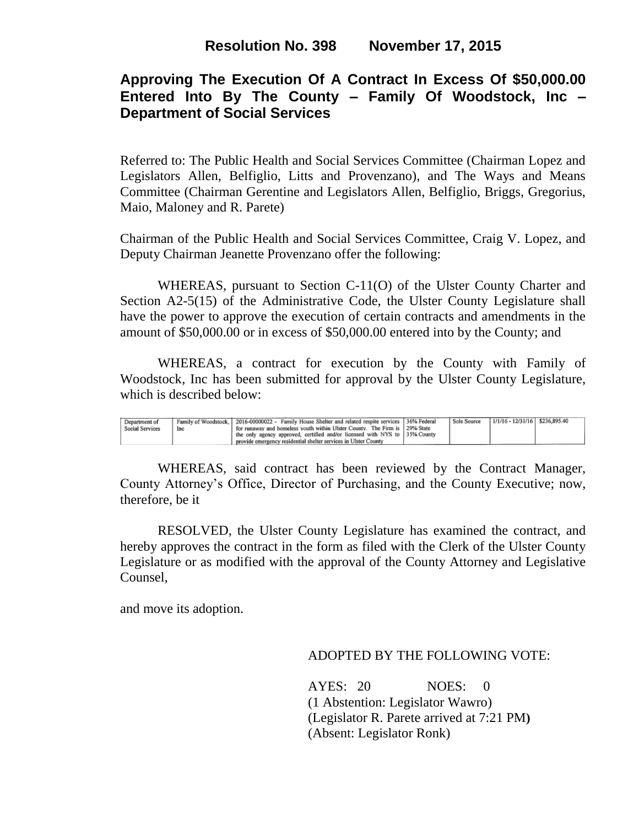## **Approving The Execution Of A Contract In Excess Of \$50,000.00 Entered Into By The County – Family Of Woodstock, Inc – Department of Social Services**

Referred to: The Public Health and Social Services Committee (Chairman Lopez and Legislators Allen, Belfiglio, Litts and Provenzano), and The Ways and Means Committee (Chairman Gerentine and Legislators Allen, Belfiglio, Briggs, Gregorius, Maio, Maloney and R. Parete)

Chairman of the Public Health and Social Services Committee, Craig V. Lopez, and Deputy Chairman Jeanette Provenzano offer the following:

WHEREAS, pursuant to Section C-11(O) of the Ulster County Charter and Section A2-5(15) of the Administrative Code, the Ulster County Legislature shall have the power to approve the execution of certain contracts and amendments in the amount of \$50,000.00 or in excess of \$50,000.00 entered into by the County; and

WHEREAS, a contract for execution by the County with Family of Woodstock, Inc has been submitted for approval by the Ulster County Legislature, which is described below:

| Department of   |     | Family of Woodstock, 2016-00000022 - Family House Shelter and related respite services 36% Federal | <b>Sole Source</b> | $1/1/16 - 12/31/16$ \$236,895.40 |  |
|-----------------|-----|----------------------------------------------------------------------------------------------------|--------------------|----------------------------------|--|
| Social Services | Inc | for runaway and homeless youth within Ulster County. The Firm is 129% State                        |                    |                                  |  |
|                 |     | the only agency approved, certified and/or licensed with NYS to 35% County                         |                    |                                  |  |
|                 |     | provide emergency residential shelter services in Ulster County                                    |                    |                                  |  |

WHEREAS, said contract has been reviewed by the Contract Manager, County Attorney's Office, Director of Purchasing, and the County Executive; now, therefore, be it

RESOLVED, the Ulster County Legislature has examined the contract, and hereby approves the contract in the form as filed with the Clerk of the Ulster County Legislature or as modified with the approval of the County Attorney and Legislative Counsel,

and move its adoption.

ADOPTED BY THE FOLLOWING VOTE:

AYES: 20 NOES: 0 (1 Abstention: Legislator Wawro) (Legislator R. Parete arrived at 7:21 PM**)** (Absent: Legislator Ronk)